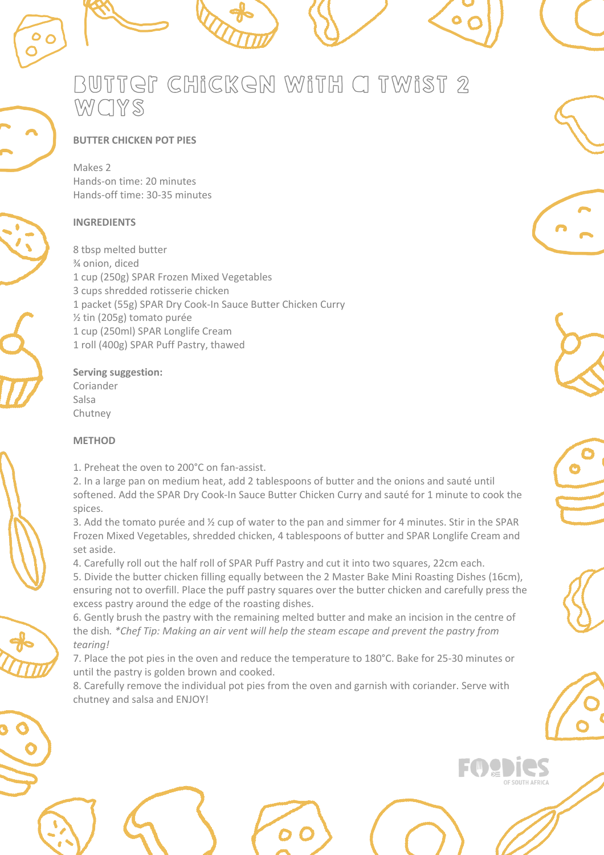

# **BUTTER CHICKEN POT PIES**

Makes 2 Hands-on time: 20 minutes Hands-off time: 30-35 minutes

## **INGREDIENTS**

8 tbsp melted butter ¾ onion, diced 1 cup (250g) SPAR Frozen Mixed Vegetables 3 cups shredded rotisserie chicken 1 packet (55g) SPAR Dry Cook-In Sauce Butter Chicken Curry ½ tin (205g) tomato purée 1 cup (250ml) SPAR Longlife Cream 1 roll (400g) SPAR Puff Pastry, thawed

#### **Serving suggestion:** Coriander

Salsa Chutney

## **METHOD**

1. Preheat the oven to 200°C on fan-assist.

2. In a large pan on medium heat, add 2 tablespoons of butter and the onions and sauté until softened. Add the SPAR Dry Cook-In Sauce Butter Chicken Curry and sauté for 1 minute to cook the spices.

3. Add the tomato purée and ½ cup of water to the pan and simmer for 4 minutes. Stir in the SPAR Frozen Mixed Vegetables, shredded chicken, 4 tablespoons of butter and SPAR Longlife Cream and set aside.

4. Carefully roll out the half roll of SPAR Puff Pastry and cut it into two squares, 22cm each.

5. Divide the butter chicken filling equally between the 2 Master Bake Mini Roasting Dishes (16cm), ensuring not to overfill. Place the puff pastry squares over the butter chicken and carefully press the excess pastry around the edge of the roasting dishes.

6. Gently brush the pastry with the remaining melted butter and make an incision in the centre of the dish*. \*Chef Tip: Making an air vent will help the steam escape and prevent the pastry from tearing!*

7. Place the pot pies in the oven and reduce the temperature to 180°C. Bake for 25-30 minutes or until the pastry is golden brown and cooked.

8. Carefully remove the individual pot pies from the oven and garnish with coriander. Serve with chutney and salsa and ENJOY!